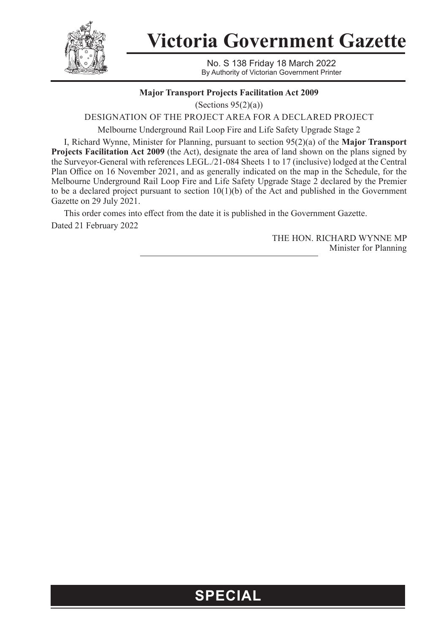

**Victoria Government Gazette**

No. S 138 Friday 18 March 2022 By Authority of Victorian Government Printer

## **Major Transport Projects Facilitation Act 2009**

 $(Sections 95(2)(a))$ 

DESIGNATION OF THE PROJECT AREA FOR A DECLARED PROJECT

Melbourne Underground Rail Loop Fire and Life Safety Upgrade Stage 2

I, Richard Wynne, Minister for Planning, pursuant to section 95(2)(a) of the **Major Transport Projects Facilitation Act 2009** (the Act), designate the area of land shown on the plans signed by the Surveyor-General with references LEGL./21-084 Sheets 1 to 17 (inclusive) lodged at the Central Plan Office on 16 November 2021, and as generally indicated on the map in the Schedule, for the Melbourne Underground Rail Loop Fire and Life Safety Upgrade Stage 2 declared by the Premier to be a declared project pursuant to section  $10(1)(b)$  of the Act and published in the Government Gazette on 29 July 2021.

This order comes into effect from the date it is published in the Government Gazette. Dated 21 February 2022

> THE HON. RICHARD WYNNE MP Minister for Planning

## **SPECIAL**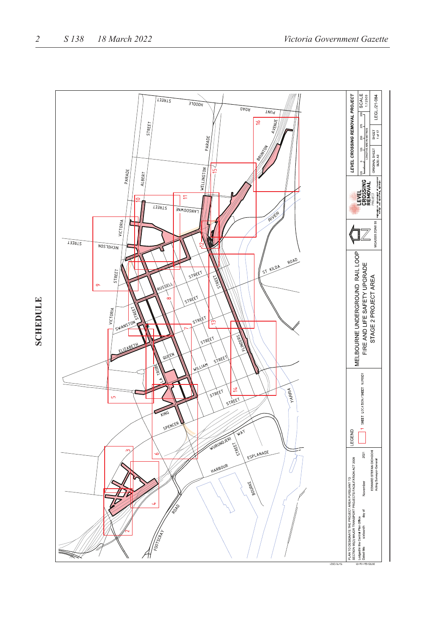

**SCHEDULE SCHEDULE**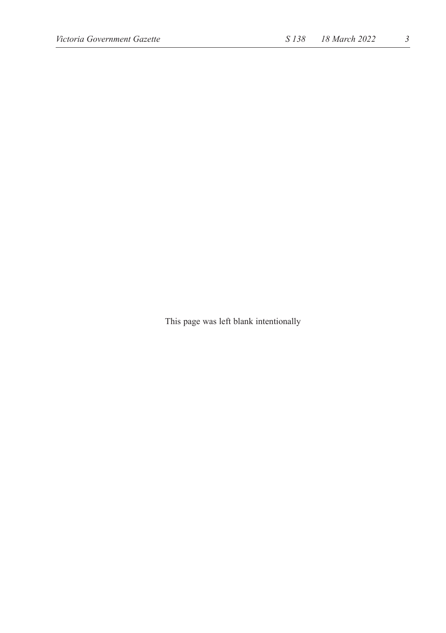This page was left blank intentionally